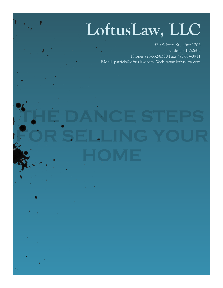## **LoftusLaw, LLC**

520 S. State St., Unit 1206 Chicago, IL60605 Phone: 773-632-8330 Fax: 773-634-8911 E-Mail: patrick@loftus-law.com Web: www.loftus-law.com

# **THE DANCE STEPS FOR SELLING YOUR**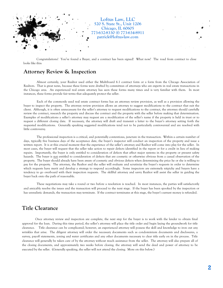

Congratulations! You've found a Buyer, and a contract has been signed! What now? The road from contract to close looks like this:

#### **Attorney Review & Inspection**

Almost certainly, your Realtor used either the Multiboard 6.1 contract form or a form from the Chicago Association of Realtors. That is great news, because these forms were drafted by committees of attorneys who are experts in real estate transactions in the Chicago area. An experienced real estate attorney has seen these forms many times and is very familiar with them. In most instances, these forms provide fair terms that adequately protect the seller.

Each of the commonly used real estate contract forms has an attorney review provision, as well as a provision allowing the buyer to inspect the property. The attorney review provision allows an attorney to suggest modifications to the contract that suit the client. Although, it is often unnecessary for the seller's attorney to request modifications to the contract, the attorney should carefully review the contract, research the property and discuss the contract and the property with the seller before making that determination. Examples of modifications a seller's attorney may request are a modification of the seller's name if the property is held in trust or to request a different closing date. If necessary, the attorney will draft and transmit a letter to the buyer's attorney setting forth the requested modifications. Generally speaking suggested modifications tend not to be particularly controversial and are resolved with little controversy.

The professional inspection is a critical, and potentially contentious, juncture in the transaction. Within a certain number of days, typically five business days of the acceptance date, the buyer's inspector will conduct an inspection of the property and issue a written report. It is at this crucial moment that the experience of the seller's attorney and Realtor will come into play for the seller. In most cases, the buyer will request that the seller take action to repair defects identified in the report or for a credit in lieu of making repairs. Importantly, the buyer is only entitled to consideration of defects that affect major systems in the property or present safety hazards. The buyer is not entitled to consideration of defects that are cosmetic or otherwise obvious from a casual observation of the property. The buyer should already have been aware of cosmetic and obvious defects when determining the price he or she is willing to pay for the property. The attorney, the Realtor and the seller will evaluate and scrutinize the buyer's requests in order to determine which requests have merit and develop a strategy to respond accordingly. Some inspectors are extremely nitpicky and buyers have a tendency to go overboard with their inspection requests. The skillful attorney and savvy Realtor will assist the seller in guiding the buyer back onto the path of reasonable.

These negotiations may take a round or two before a resolution is reached. In most instances, the parties will satisfactorily and amicably resolve the issues and the transaction will proceed to the next stage. If the buyer has been spooked by the inspection or has unrealistic demands, the transaction may terminate. If the contract terminates at this stage, the buyer's earnest money is refunded.

#### **Title Clearance**

Once attorney review and inspection are complete, the next step for the buyer is to work with the lender to obtain final approval for the loan. During this time period, the seller's attorney will place the title order and begin laying the groundwork for title clearance. Title clearance can be complicated; however, an experienced attorney will possess the skill and knowledge to iron out any wrinkles that arise. The diligent attorney will order the necessary documents such as condominium documents and disclosures, a survey, payoff statements, zoning and water certificates and any other documents necessary to clear title early on in the process. Title clearance will generally be taken care of by the attorney without much assistance from the seller. The attorney will also prepare all of the closing documents, and approximately two weeks before closing, the attorney will send the deed and power of attorney to be executed by the seller. (Generally speaking, the seller will not attend the closing. More on this below.)